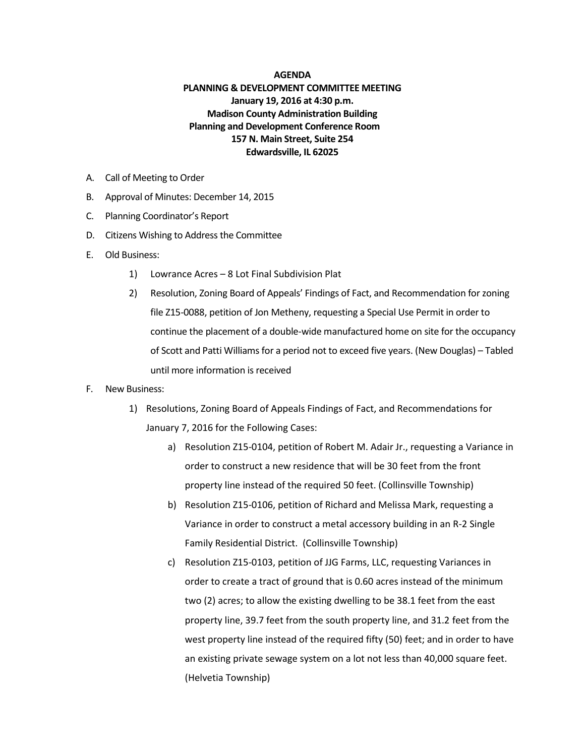## **AGENDA**

## **PLANNING & DEVELOPMENT COMMITTEE MEETING January 19, 2016 at 4:30 p.m. Madison County Administration Building Planning and Development Conference Room 157 N. Main Street, Suite 254 Edwardsville, IL 62025**

- A. Call of Meeting to Order
- B. Approval of Minutes: December 14, 2015
- C. Planning Coordinator's Report
- D. Citizens Wishing to Address the Committee
- E. Old Business:
	- 1) Lowrance Acres 8 Lot Final Subdivision Plat
	- 2) Resolution, Zoning Board of Appeals' Findings of Fact, and Recommendation for zoning file Z15-0088, petition of Jon Metheny, requesting a Special Use Permit in order to continue the placement of a double-wide manufactured home on site for the occupancy of Scott and Patti Williams for a period not to exceed five years. (New Douglas) – Tabled until more information is received
- F. New Business:
	- 1) Resolutions, Zoning Board of Appeals Findings of Fact, and Recommendations for January 7, 2016 for the Following Cases:
		- a) Resolution Z15-0104, petition of Robert M. Adair Jr., requesting a Variance in order to construct a new residence that will be 30 feet from the front property line instead of the required 50 feet. (Collinsville Township)
		- b) Resolution Z15-0106, petition of Richard and Melissa Mark, requesting a Variance in order to construct a metal accessory building in an R-2 Single Family Residential District. (Collinsville Township)
		- c) Resolution Z15-0103, petition of JJG Farms, LLC, requesting Variances in order to create a tract of ground that is 0.60 acres instead of the minimum two (2) acres; to allow the existing dwelling to be 38.1 feet from the east property line, 39.7 feet from the south property line, and 31.2 feet from the west property line instead of the required fifty (50) feet; and in order to have an existing private sewage system on a lot not less than 40,000 square feet. (Helvetia Township)